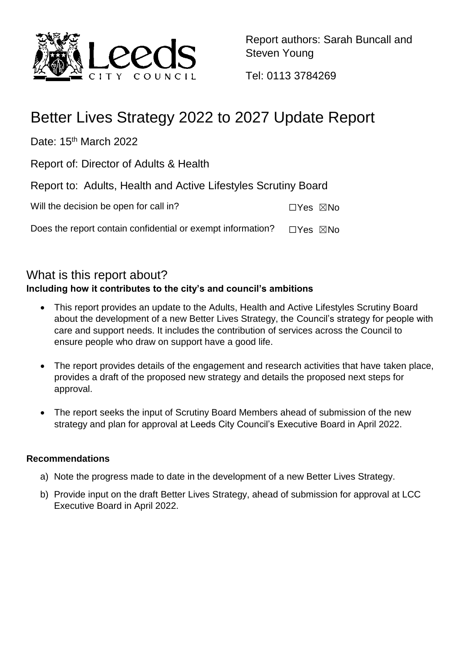

Report authors: Sarah Buncall and Steven Young

Tel: 0113 3784269

# Better Lives Strategy 2022 to 2027 Update Report

Date: 15<sup>th</sup> March 2022

Report of: Director of Adults & Health

Report to: Adults, Health and Active Lifestyles Scrutiny Board

| Will the decision be open for call in? | $\Box Y$ es $\boxtimes$ No |  |
|----------------------------------------|----------------------------|--|
|----------------------------------------|----------------------------|--|

Does the report contain confidential or exempt information?  $\square$ Yes  $\square$ No

#### What is this report about? **Including how it contributes to the city's and council's ambitions**

- This report provides an update to the Adults, Health and Active Lifestyles Scrutiny Board about the development of a new Better Lives Strategy, the Council's strategy for people with care and support needs. It includes the contribution of services across the Council to ensure people who draw on support have a good life.
- The report provides details of the engagement and research activities that have taken place, provides a draft of the proposed new strategy and details the proposed next steps for approval.
- The report seeks the input of Scrutiny Board Members ahead of submission of the new strategy and plan for approval at Leeds City Council's Executive Board in April 2022.

#### **Recommendations**

- a) Note the progress made to date in the development of a new Better Lives Strategy.
- b) Provide input on the draft Better Lives Strategy, ahead of submission for approval at LCC Executive Board in April 2022.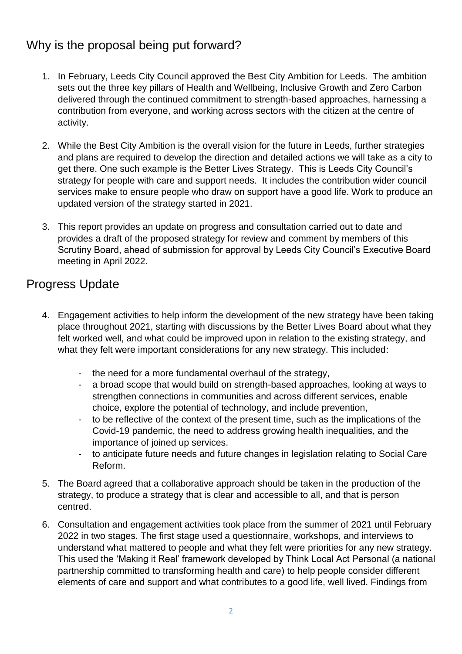# Why is the proposal being put forward?

- 1. In February, Leeds City Council approved the Best City Ambition for Leeds. The ambition sets out the three key pillars of Health and Wellbeing, Inclusive Growth and Zero Carbon delivered through the continued commitment to strength-based approaches, harnessing a contribution from everyone, and working across sectors with the citizen at the centre of activity.
- 2. While the Best City Ambition is the overall vision for the future in Leeds, further strategies and plans are required to develop the direction and detailed actions we will take as a city to get there. One such example is the Better Lives Strategy. This is Leeds City Council's strategy for people with care and support needs. It includes the contribution wider council services make to ensure people who draw on support have a good life. Work to produce an updated version of the strategy started in 2021.
- 3. This report provides an update on progress and consultation carried out to date and provides a draft of the proposed strategy for review and comment by members of this Scrutiny Board, ahead of submission for approval by Leeds City Council's Executive Board meeting in April 2022.

# Progress Update

- 4. Engagement activities to help inform the development of the new strategy have been taking place throughout 2021, starting with discussions by the Better Lives Board about what they felt worked well, and what could be improved upon in relation to the existing strategy, and what they felt were important considerations for any new strategy. This included:
	- the need for a more fundamental overhaul of the strategy,
	- a broad scope that would build on strength-based approaches, looking at ways to strengthen connections in communities and across different services, enable choice, explore the potential of technology, and include prevention,
	- to be reflective of the context of the present time, such as the implications of the Covid-19 pandemic, the need to address growing health inequalities, and the importance of joined up services.
	- to anticipate future needs and future changes in legislation relating to Social Care Reform.
- 5. The Board agreed that a collaborative approach should be taken in the production of the strategy, to produce a strategy that is clear and accessible to all, and that is person centred.
- 6. Consultation and engagement activities took place from the summer of 2021 until February 2022 in two stages. The first stage used a questionnaire, workshops, and interviews to understand what mattered to people and what they felt were priorities for any new strategy. This used the 'Making it Real' framework developed by Think Local Act Personal (a national partnership committed to transforming health and care) to help people consider different elements of care and support and what contributes to a good life, well lived. Findings from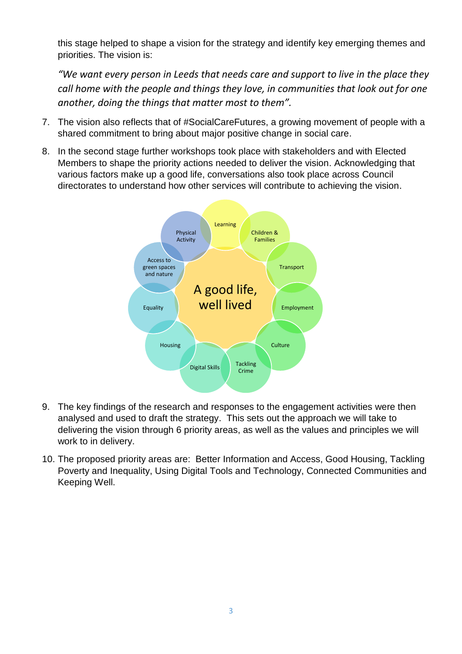this stage helped to shape a vision for the strategy and identify key emerging themes and priorities. The vision is:

*"We want every person in Leeds that needs care and support to live in the place they call home with the people and things they love, in communities that look out for one another, doing the things that matter most to them".*

- 7. The vision also reflects that of #SocialCareFutures, a growing movement of people with a shared commitment to bring about major positive change in social care.
- 8. In the second stage further workshops took place with stakeholders and with Elected Members to shape the priority actions needed to deliver the vision. Acknowledging that various factors make up a good life, conversations also took place across Council directorates to understand how other services will contribute to achieving the vision.



- 9. The key findings of the research and responses to the engagement activities were then analysed and used to draft the strategy. This sets out the approach we will take to delivering the vision through 6 priority areas, as well as the values and principles we will work to in delivery.
- 10. The proposed priority areas are: Better Information and Access, Good Housing, Tackling Poverty and Inequality, Using Digital Tools and Technology, Connected Communities and Keeping Well.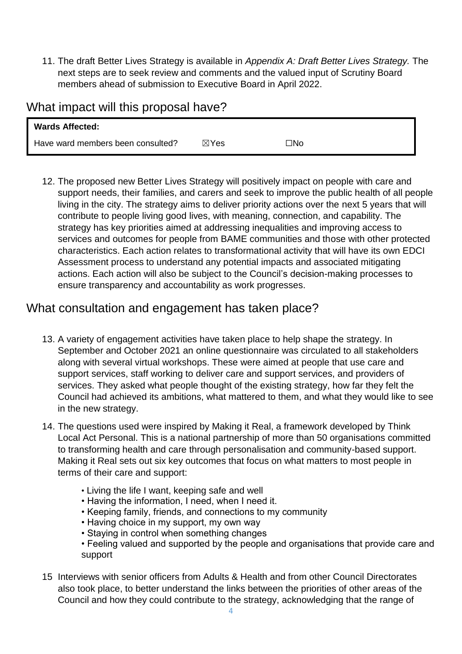11. The draft Better Lives Strategy is available in *Appendix A: Draft Better Lives Strategy.* The next steps are to seek review and comments and the valued input of Scrutiny Board members ahead of submission to Executive Board in April 2022.

#### What impact will this proposal have?

| <b>Wards Affected:</b>            |                 |     |
|-----------------------------------|-----------------|-----|
| Have ward members been consulted? | $\boxtimes$ Yes | oИ⊡ |

12. The proposed new Better Lives Strategy will positively impact on people with care and support needs, their families, and carers and seek to improve the public health of all people living in the city. The strategy aims to deliver priority actions over the next 5 years that will contribute to people living good lives, with meaning, connection, and capability. The strategy has key priorities aimed at addressing inequalities and improving access to services and outcomes for people from BAME communities and those with other protected characteristics. Each action relates to transformational activity that will have its own EDCI Assessment process to understand any potential impacts and associated mitigating actions. Each action will also be subject to the Council's decision-making processes to ensure transparency and accountability as work progresses.

### What consultation and engagement has taken place?

- 13. A variety of engagement activities have taken place to help shape the strategy. In September and October 2021 an online questionnaire was circulated to all stakeholders along with several virtual workshops. These were aimed at people that use care and support services, staff working to deliver care and support services, and providers of services. They asked what people thought of the existing strategy, how far they felt the Council had achieved its ambitions, what mattered to them, and what they would like to see in the new strategy.
- 14. The questions used were inspired by Making it Real, a framework developed by Think Local Act Personal. This is a national partnership of more than 50 organisations committed to transforming health and care through personalisation and community-based support. Making it Real sets out six key outcomes that focus on what matters to most people in terms of their care and support:
	- Living the life I want, keeping safe and well
	- Having the information, I need, when I need it.
	- Keeping family, friends, and connections to my community
	- Having choice in my support, my own way
	- Staying in control when something changes
	- Feeling valued and supported by the people and organisations that provide care and support
- 15 Interviews with senior officers from Adults & Health and from other Council Directorates also took place, to better understand the links between the priorities of other areas of the Council and how they could contribute to the strategy, acknowledging that the range of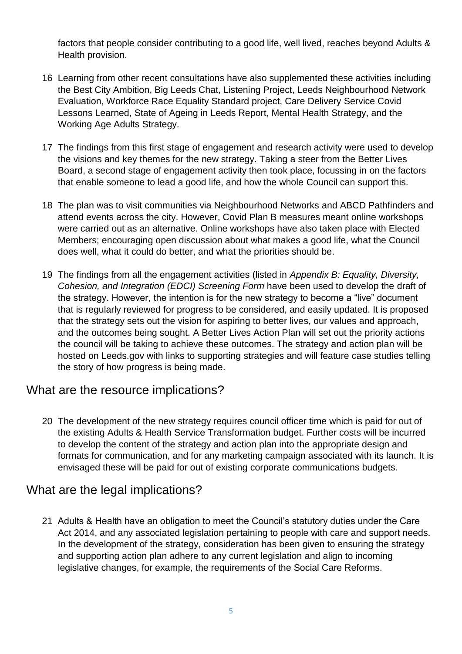factors that people consider contributing to a good life, well lived, reaches beyond Adults & Health provision.

- 16 Learning from other recent consultations have also supplemented these activities including the Best City Ambition, Big Leeds Chat, Listening Project, Leeds Neighbourhood Network Evaluation, Workforce Race Equality Standard project, Care Delivery Service Covid Lessons Learned, State of Ageing in Leeds Report, Mental Health Strategy, and the Working Age Adults Strategy.
- 17 The findings from this first stage of engagement and research activity were used to develop the visions and key themes for the new strategy. Taking a steer from the Better Lives Board, a second stage of engagement activity then took place, focussing in on the factors that enable someone to lead a good life, and how the whole Council can support this.
- 18 The plan was to visit communities via Neighbourhood Networks and ABCD Pathfinders and attend events across the city. However, Covid Plan B measures meant online workshops were carried out as an alternative. Online workshops have also taken place with Elected Members; encouraging open discussion about what makes a good life, what the Council does well, what it could do better, and what the priorities should be.
- 19 The findings from all the engagement activities (listed in *Appendix B: Equality, Diversity, Cohesion, and Integration (EDCI) Screening Form* have been used to develop the draft of the strategy. However, the intention is for the new strategy to become a "live" document that is regularly reviewed for progress to be considered, and easily updated. It is proposed that the strategy sets out the vision for aspiring to better lives, our values and approach, and the outcomes being sought. A Better Lives Action Plan will set out the priority actions the council will be taking to achieve these outcomes. The strategy and action plan will be hosted on Leeds.gov with links to supporting strategies and will feature case studies telling the story of how progress is being made.

### What are the resource implications?

20 The development of the new strategy requires council officer time which is paid for out of the existing Adults & Health Service Transformation budget. Further costs will be incurred to develop the content of the strategy and action plan into the appropriate design and formats for communication, and for any marketing campaign associated with its launch. It is envisaged these will be paid for out of existing corporate communications budgets.

### What are the legal implications?

21 Adults & Health have an obligation to meet the Council's statutory duties under the Care Act 2014, and any associated legislation pertaining to people with care and support needs. In the development of the strategy, consideration has been given to ensuring the strategy and supporting action plan adhere to any current legislation and align to incoming legislative changes, for example, the requirements of the Social Care Reforms.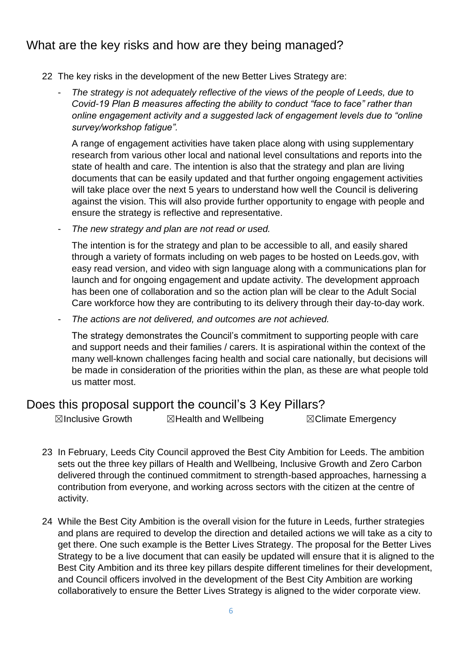## What are the key risks and how are they being managed?

- 22 The key risks in the development of the new Better Lives Strategy are:
	- *The strategy is not adequately reflective of the views of the people of Leeds, due to Covid-19 Plan B measures affecting the ability to conduct "face to face" rather than online engagement activity and a suggested lack of engagement levels due to "online survey/workshop fatigue".*

A range of engagement activities have taken place along with using supplementary research from various other local and national level consultations and reports into the state of health and care. The intention is also that the strategy and plan are living documents that can be easily updated and that further ongoing engagement activities will take place over the next 5 years to understand how well the Council is delivering against the vision. This will also provide further opportunity to engage with people and ensure the strategy is reflective and representative.

- *The new strategy and plan are not read or used.*

The intention is for the strategy and plan to be accessible to all, and easily shared through a variety of formats including on web pages to be hosted on Leeds.gov, with easy read version, and video with sign language along with a communications plan for launch and for ongoing engagement and update activity. The development approach has been one of collaboration and so the action plan will be clear to the Adult Social Care workforce how they are contributing to its delivery through their day-to-day work.

- *The actions are not delivered, and outcomes are not achieved.*

The strategy demonstrates the Council's commitment to supporting people with care and support needs and their families / carers. It is aspirational within the context of the many well-known challenges facing health and social care nationally, but decisions will be made in consideration of the priorities within the plan, as these are what people told us matter most.

#### Does this proposal support the council's 3 Key Pillars?

**⊠Inclusive Growth ■ ⊠Health and Wellbeing ■ ■ ⊠Climate Emergency** 

- 23 In February, Leeds City Council approved the Best City Ambition for Leeds. The ambition sets out the three key pillars of Health and Wellbeing, Inclusive Growth and Zero Carbon delivered through the continued commitment to strength-based approaches, harnessing a contribution from everyone, and working across sectors with the citizen at the centre of activity.
- 24 While the Best City Ambition is the overall vision for the future in Leeds, further strategies and plans are required to develop the direction and detailed actions we will take as a city to get there. One such example is the Better Lives Strategy. The proposal for the Better Lives Strategy to be a live document that can easily be updated will ensure that it is aligned to the Best City Ambition and its three key pillars despite different timelines for their development, and Council officers involved in the development of the Best City Ambition are working collaboratively to ensure the Better Lives Strategy is aligned to the wider corporate view.